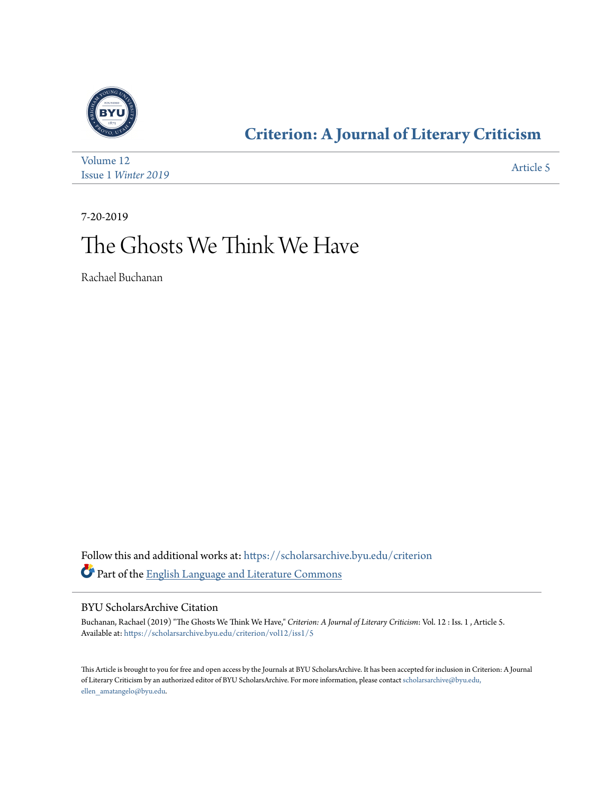

### **[Criterion: A Journal of Literary Criticism](https://scholarsarchive.byu.edu/criterion?utm_source=scholarsarchive.byu.edu%2Fcriterion%2Fvol12%2Fiss1%2F5&utm_medium=PDF&utm_campaign=PDFCoverPages)**

| Volume 12           | Article 5 |
|---------------------|-----------|
| Issue 1 Winter 2019 |           |

7-20-2019

### The Ghosts We Think We Have

Rachael Buchanan

Follow this and additional works at: [https://scholarsarchive.byu.edu/criterion](https://scholarsarchive.byu.edu/criterion?utm_source=scholarsarchive.byu.edu%2Fcriterion%2Fvol12%2Fiss1%2F5&utm_medium=PDF&utm_campaign=PDFCoverPages) Part of the [English Language and Literature Commons](http://network.bepress.com/hgg/discipline/455?utm_source=scholarsarchive.byu.edu%2Fcriterion%2Fvol12%2Fiss1%2F5&utm_medium=PDF&utm_campaign=PDFCoverPages)

### BYU ScholarsArchive Citation

Buchanan, Rachael (2019) "The Ghosts We Think We Have," *Criterion: A Journal of Literary Criticism*: Vol. 12 : Iss. 1 , Article 5. Available at: [https://scholarsarchive.byu.edu/criterion/vol12/iss1/5](https://scholarsarchive.byu.edu/criterion/vol12/iss1/5?utm_source=scholarsarchive.byu.edu%2Fcriterion%2Fvol12%2Fiss1%2F5&utm_medium=PDF&utm_campaign=PDFCoverPages)

This Article is brought to you for free and open access by the Journals at BYU ScholarsArchive. It has been accepted for inclusion in Criterion: A Journal of Literary Criticism by an authorized editor of BYU ScholarsArchive. For more information, please contact [scholarsarchive@byu.edu,](mailto:scholarsarchive@byu.edu,%20ellen_amatangelo@byu.edu) [ellen\\_amatangelo@byu.edu.](mailto:scholarsarchive@byu.edu,%20ellen_amatangelo@byu.edu)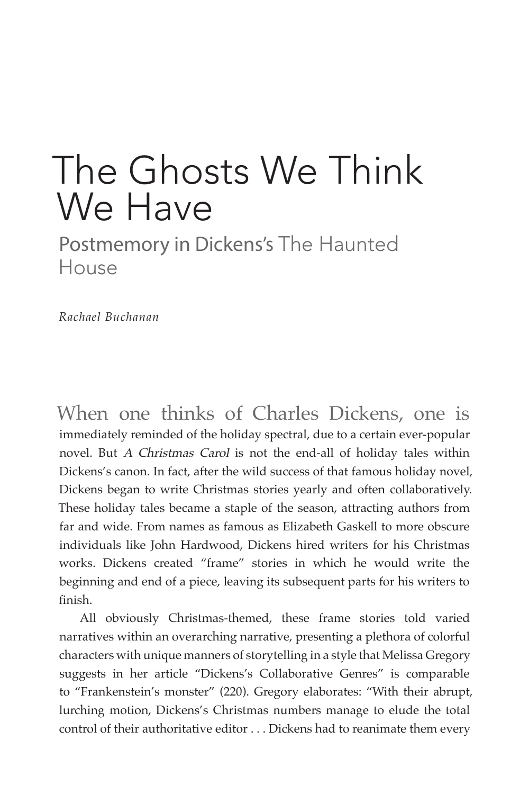# The Ghosts We Think We Have

Postmemory in Dickens's The Haunted House

*Rachael Buchanan*

When one thinks of Charles Dickens, one is immediately reminded of the holiday spectral, due to a certain ever-popular novel. But A Christmas Carol is not the end-all of holiday tales within Dickens's canon. In fact, after the wild success of that famous holiday novel, Dickens began to write Christmas stories yearly and often collaboratively. These holiday tales became a staple of the season, attracting authors from far and wide. From names as famous as Elizabeth Gaskell to more obscure individuals like John Hardwood, Dickens hired writers for his Christmas works. Dickens created "frame" stories in which he would write the beginning and end of a piece, leaving its subsequent parts for his writers to finish.

All obviously Christmas-themed, these frame stories told varied narratives within an overarching narrative, presenting a plethora of colorful characters with unique manners of storytelling in a style that Melissa Gregory suggests in her article "Dickens's Collaborative Genres" is comparable to "Frankenstein's monster" (220). Gregory elaborates: "With their abrupt, lurching motion, Dickens's Christmas numbers manage to elude the total control of their authoritative editor . . . Dickens had to reanimate them every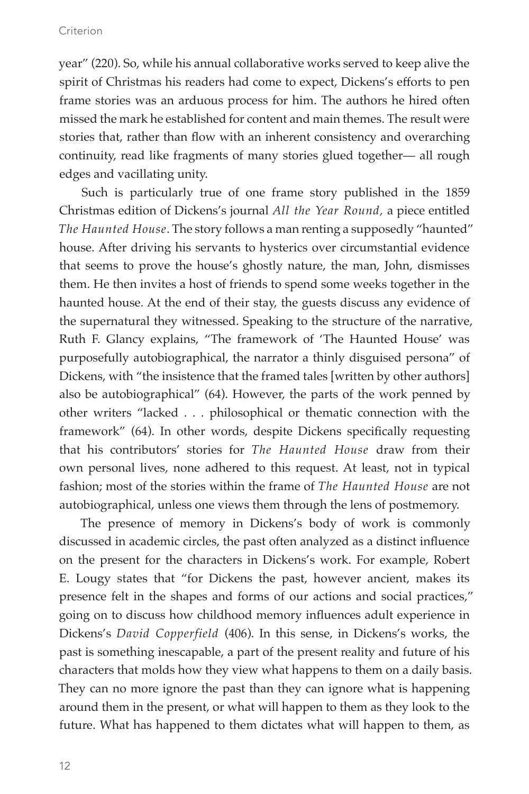#### Criterion

year" (220). So, while his annual collaborative works served to keep alive the spirit of Christmas his readers had come to expect, Dickens's efforts to pen frame stories was an arduous process for him. The authors he hired often missed the mark he established for content and main themes. The result were stories that, rather than flow with an inherent consistency and overarching continuity, read like fragments of many stories glued together— all rough edges and vacillating unity.

Such is particularly true of one frame story published in the 1859 Christmas edition of Dickens's journal *All the Year Round,* a piece entitled *The Haunted House*. The story follows a man renting a supposedly "haunted" house. After driving his servants to hysterics over circumstantial evidence that seems to prove the house's ghostly nature, the man, John, dismisses them. He then invites a host of friends to spend some weeks together in the haunted house. At the end of their stay, the guests discuss any evidence of the supernatural they witnessed. Speaking to the structure of the narrative, Ruth F. Glancy explains, "The framework of 'The Haunted House' was purposefully autobiographical, the narrator a thinly disguised persona" of Dickens, with "the insistence that the framed tales [written by other authors] also be autobiographical" (64). However, the parts of the work penned by other writers "lacked . . . philosophical or thematic connection with the framework" (64). In other words, despite Dickens specifically requesting that his contributors' stories for *The Haunted House* draw from their own personal lives, none adhered to this request. At least, not in typical fashion; most of the stories within the frame of *The Haunted House* are not autobiographical, unless one views them through the lens of postmemory.

The presence of memory in Dickens's body of work is commonly discussed in academic circles, the past often analyzed as a distinct influence on the present for the characters in Dickens's work. For example, Robert E. Lougy states that "for Dickens the past, however ancient, makes its presence felt in the shapes and forms of our actions and social practices," going on to discuss how childhood memory influences adult experience in Dickens's *David Copperfield* (406). In this sense, in Dickens's works, the past is something inescapable, a part of the present reality and future of his characters that molds how they view what happens to them on a daily basis. They can no more ignore the past than they can ignore what is happening around them in the present, or what will happen to them as they look to the future. What has happened to them dictates what will happen to them, as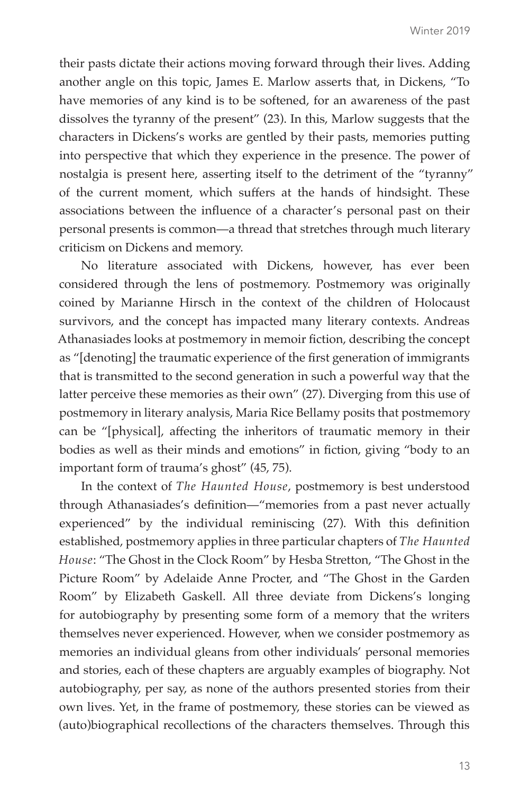their pasts dictate their actions moving forward through their lives. Adding another angle on this topic, James E. Marlow asserts that, in Dickens, "To have memories of any kind is to be softened, for an awareness of the past dissolves the tyranny of the present" (23). In this, Marlow suggests that the characters in Dickens's works are gentled by their pasts, memories putting into perspective that which they experience in the presence. The power of nostalgia is present here, asserting itself to the detriment of the "tyranny" of the current moment, which suffers at the hands of hindsight. These associations between the influence of a character's personal past on their personal presents is common—a thread that stretches through much literary criticism on Dickens and memory.

No literature associated with Dickens, however, has ever been considered through the lens of postmemory. Postmemory was originally coined by Marianne Hirsch in the context of the children of Holocaust survivors, and the concept has impacted many literary contexts. Andreas Athanasiades looks at postmemory in memoir fiction, describing the concept as "[denoting] the traumatic experience of the first generation of immigrants that is transmitted to the second generation in such a powerful way that the latter perceive these memories as their own" (27). Diverging from this use of postmemory in literary analysis, Maria Rice Bellamy posits that postmemory can be "[physical], affecting the inheritors of traumatic memory in their bodies as well as their minds and emotions" in fiction, giving "body to an important form of trauma's ghost" (45, 75).

In the context of *The Haunted House*, postmemory is best understood through Athanasiades's definition—"memories from a past never actually experienced" by the individual reminiscing (27). With this definition established, postmemory applies in three particular chapters of *The Haunted House*: "The Ghost in the Clock Room" by Hesba Stretton, "The Ghost in the Picture Room" by Adelaide Anne Procter, and "The Ghost in the Garden Room" by Elizabeth Gaskell. All three deviate from Dickens's longing for autobiography by presenting some form of a memory that the writers themselves never experienced. However, when we consider postmemory as memories an individual gleans from other individuals' personal memories and stories, each of these chapters are arguably examples of biography. Not autobiography, per say, as none of the authors presented stories from their own lives. Yet, in the frame of postmemory, these stories can be viewed as (auto)biographical recollections of the characters themselves. Through this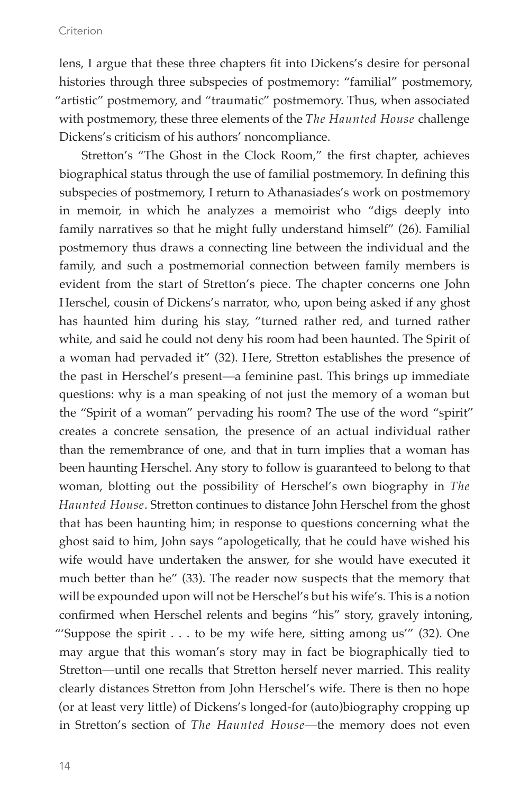#### Criterion

lens, I argue that these three chapters fit into Dickens's desire for personal histories through three subspecies of postmemory: "familial" postmemory, "artistic" postmemory, and "traumatic" postmemory. Thus, when associated with postmemory, these three elements of the *The Haunted House* challenge Dickens's criticism of his authors' noncompliance.

Stretton's "The Ghost in the Clock Room," the first chapter, achieves biographical status through the use of familial postmemory. In defining this subspecies of postmemory, I return to Athanasiades's work on postmemory in memoir, in which he analyzes a memoirist who "digs deeply into family narratives so that he might fully understand himself" (26). Familial postmemory thus draws a connecting line between the individual and the family, and such a postmemorial connection between family members is evident from the start of Stretton's piece. The chapter concerns one John Herschel, cousin of Dickens's narrator, who, upon being asked if any ghost has haunted him during his stay, "turned rather red, and turned rather white, and said he could not deny his room had been haunted. The Spirit of a woman had pervaded it" (32). Here, Stretton establishes the presence of the past in Herschel's present—a feminine past. This brings up immediate questions: why is a man speaking of not just the memory of a woman but the "Spirit of a woman" pervading his room? The use of the word "spirit" creates a concrete sensation, the presence of an actual individual rather than the remembrance of one, and that in turn implies that a woman has been haunting Herschel. Any story to follow is guaranteed to belong to that woman, blotting out the possibility of Herschel's own biography in *The Haunted House*. Stretton continues to distance John Herschel from the ghost that has been haunting him; in response to questions concerning what the ghost said to him, John says "apologetically, that he could have wished his wife would have undertaken the answer, for she would have executed it much better than he" (33). The reader now suspects that the memory that will be expounded upon will not be Herschel's but his wife's. This is a notion confirmed when Herschel relents and begins "his" story, gravely intoning, "'Suppose the spirit . . . to be my wife here, sitting among us'" (32). One may argue that this woman's story may in fact be biographically tied to Stretton—until one recalls that Stretton herself never married. This reality clearly distances Stretton from John Herschel's wife. There is then no hope (or at least very little) of Dickens's longed-for (auto)biography cropping up in Stretton's section of *The Haunted House*—the memory does not even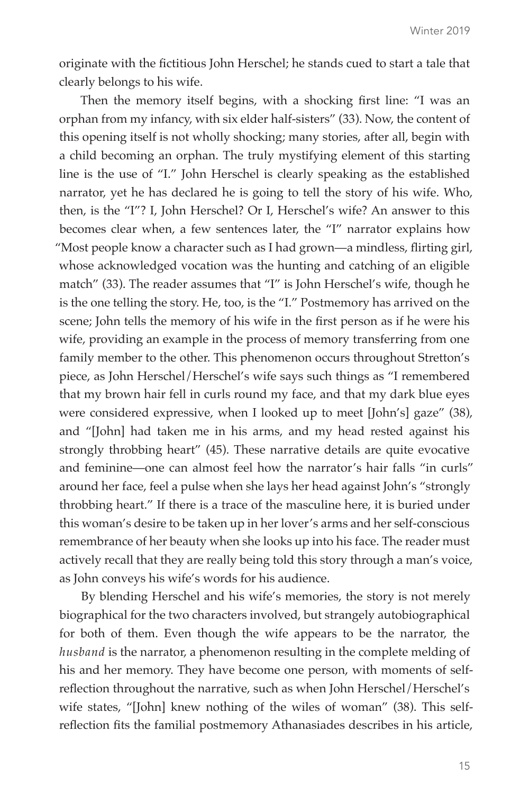originate with the fictitious John Herschel; he stands cued to start a tale that clearly belongs to his wife.

Then the memory itself begins, with a shocking first line: "I was an orphan from my infancy, with six elder half-sisters" (33). Now, the content of this opening itself is not wholly shocking; many stories, after all, begin with a child becoming an orphan. The truly mystifying element of this starting line is the use of "I." John Herschel is clearly speaking as the established narrator, yet he has declared he is going to tell the story of his wife. Who, then, is the "I"? I, John Herschel? Or I, Herschel's wife? An answer to this becomes clear when, a few sentences later, the "I" narrator explains how "Most people know a character such as I had grown—a mindless, flirting girl, whose acknowledged vocation was the hunting and catching of an eligible match" (33). The reader assumes that "I" is John Herschel's wife, though he is the one telling the story. He, too, is the "I." Postmemory has arrived on the scene; John tells the memory of his wife in the first person as if he were his wife, providing an example in the process of memory transferring from one family member to the other. This phenomenon occurs throughout Stretton's piece, as John Herschel/Herschel's wife says such things as "I remembered that my brown hair fell in curls round my face, and that my dark blue eyes were considered expressive, when I looked up to meet [John's] gaze" (38), and "[John] had taken me in his arms, and my head rested against his strongly throbbing heart" (45). These narrative details are quite evocative and feminine—one can almost feel how the narrator's hair falls "in curls" around her face, feel a pulse when she lays her head against John's "strongly throbbing heart." If there is a trace of the masculine here, it is buried under this woman's desire to be taken up in her lover's arms and her self-conscious remembrance of her beauty when she looks up into his face. The reader must actively recall that they are really being told this story through a man's voice, as John conveys his wife's words for his audience.

By blending Herschel and his wife's memories, the story is not merely biographical for the two characters involved, but strangely autobiographical for both of them. Even though the wife appears to be the narrator, the *husband* is the narrator, a phenomenon resulting in the complete melding of his and her memory. They have become one person, with moments of selfreflection throughout the narrative, such as when John Herschel/Herschel's wife states, "[John] knew nothing of the wiles of woman" (38). This selfreflection fits the familial postmemory Athanasiades describes in his article,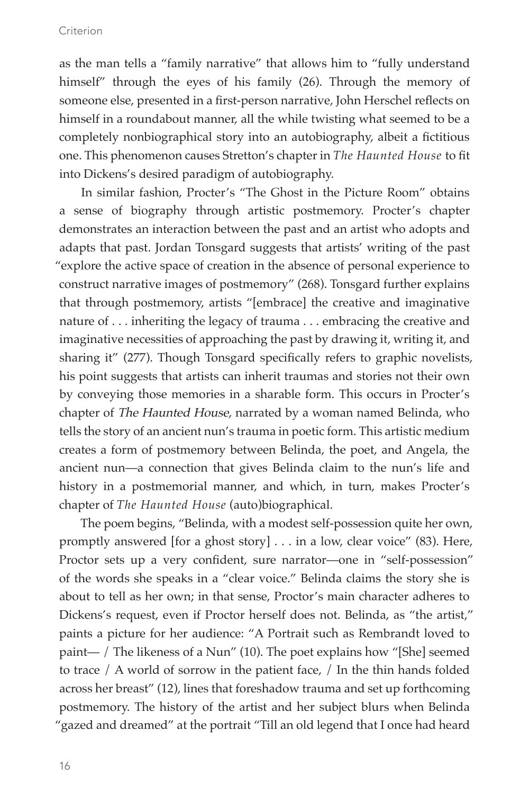as the man tells a "family narrative" that allows him to "fully understand himself" through the eyes of his family (26). Through the memory of someone else, presented in a first-person narrative, John Herschel reflects on himself in a roundabout manner, all the while twisting what seemed to be a completely nonbiographical story into an autobiography, albeit a fictitious one. This phenomenon causes Stretton's chapter in *The Haunted House* to fit into Dickens's desired paradigm of autobiography.

In similar fashion, Procter's "The Ghost in the Picture Room" obtains a sense of biography through artistic postmemory. Procter's chapter demonstrates an interaction between the past and an artist who adopts and adapts that past. Jordan Tonsgard suggests that artists' writing of the past "explore the active space of creation in the absence of personal experience to construct narrative images of postmemory" (268). Tonsgard further explains that through postmemory, artists "[embrace] the creative and imaginative nature of . . . inheriting the legacy of trauma . . . embracing the creative and imaginative necessities of approaching the past by drawing it, writing it, and sharing it" (277). Though Tonsgard specifically refers to graphic novelists, his point suggests that artists can inherit traumas and stories not their own by conveying those memories in a sharable form. This occurs in Procter's chapter of The Haunted House, narrated by a woman named Belinda, who tells the story of an ancient nun's trauma in poetic form. This artistic medium creates a form of postmemory between Belinda, the poet, and Angela, the ancient nun—a connection that gives Belinda claim to the nun's life and history in a postmemorial manner, and which, in turn, makes Procter's chapter of *The Haunted House* (auto)biographical.

The poem begins, "Belinda, with a modest self-possession quite her own, promptly answered [for a ghost story] . . . in a low, clear voice" (83). Here, Proctor sets up a very confident, sure narrator—one in "self-possession" of the words she speaks in a "clear voice." Belinda claims the story she is about to tell as her own; in that sense, Proctor's main character adheres to Dickens's request, even if Proctor herself does not. Belinda, as "the artist," paints a picture for her audience: "A Portrait such as Rembrandt loved to paint— / The likeness of a Nun" (10). The poet explains how "[She] seemed to trace / A world of sorrow in the patient face, / In the thin hands folded across her breast" (12), lines that foreshadow trauma and set up forthcoming postmemory. The history of the artist and her subject blurs when Belinda "gazed and dreamed" at the portrait "Till an old legend that I once had heard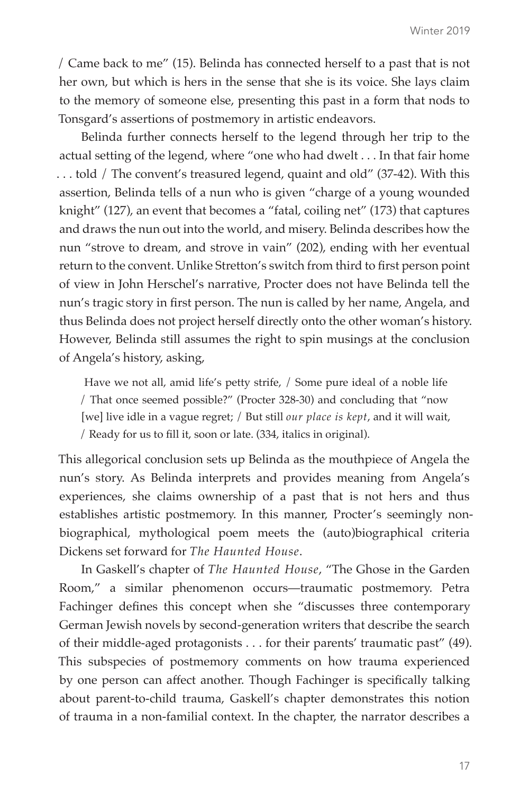/ Came back to me" (15). Belinda has connected herself to a past that is not her own, but which is hers in the sense that she is its voice. She lays claim to the memory of someone else, presenting this past in a form that nods to Tonsgard's assertions of postmemory in artistic endeavors.

Belinda further connects herself to the legend through her trip to the actual setting of the legend, where "one who had dwelt . . . In that fair home . . . told / The convent's treasured legend, quaint and old" (37-42). With this assertion, Belinda tells of a nun who is given "charge of a young wounded knight" (127), an event that becomes a "fatal, coiling net" (173) that captures and draws the nun out into the world, and misery. Belinda describes how the nun "strove to dream, and strove in vain" (202), ending with her eventual return to the convent. Unlike Stretton's switch from third to first person point of view in John Herschel's narrative, Procter does not have Belinda tell the nun's tragic story in first person. The nun is called by her name, Angela, and thus Belinda does not project herself directly onto the other woman's history. However, Belinda still assumes the right to spin musings at the conclusion of Angela's history, asking,

 Have we not all, amid life's petty strife, / Some pure ideal of a noble life / That once seemed possible?" (Procter 328-30) and concluding that "now [we] live idle in a vague regret; / But still *our place is kept*, and it will wait, / Ready for us to fill it, soon or late. (334, italics in original).

This allegorical conclusion sets up Belinda as the mouthpiece of Angela the nun's story. As Belinda interprets and provides meaning from Angela's experiences, she claims ownership of a past that is not hers and thus establishes artistic postmemory. In this manner, Procter's seemingly nonbiographical, mythological poem meets the (auto)biographical criteria Dickens set forward for *The Haunted House*.

In Gaskell's chapter of *The Haunted House*, "The Ghose in the Garden Room," a similar phenomenon occurs—traumatic postmemory. Petra Fachinger defines this concept when she "discusses three contemporary German Jewish novels by second-generation writers that describe the search of their middle-aged protagonists . . . for their parents' traumatic past" (49). This subspecies of postmemory comments on how trauma experienced by one person can affect another. Though Fachinger is specifically talking about parent-to-child trauma, Gaskell's chapter demonstrates this notion of trauma in a non-familial context. In the chapter, the narrator describes a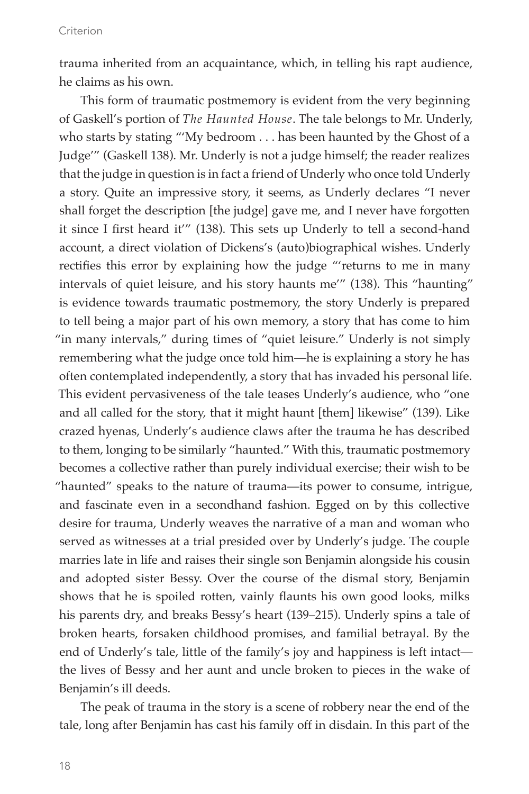trauma inherited from an acquaintance, which, in telling his rapt audience, he claims as his own.

This form of traumatic postmemory is evident from the very beginning of Gaskell's portion of *The Haunted House*. The tale belongs to Mr. Underly, who starts by stating "'My bedroom . . . has been haunted by the Ghost of a Judge'" (Gaskell 138). Mr. Underly is not a judge himself; the reader realizes that the judge in question is in fact a friend of Underly who once told Underly a story. Quite an impressive story, it seems, as Underly declares "I never shall forget the description [the judge] gave me, and I never have forgotten it since I first heard it'" (138). This sets up Underly to tell a second-hand account, a direct violation of Dickens's (auto)biographical wishes. Underly rectifies this error by explaining how the judge "'returns to me in many intervals of quiet leisure, and his story haunts me'" (138). This "haunting" is evidence towards traumatic postmemory, the story Underly is prepared to tell being a major part of his own memory, a story that has come to him "in many intervals," during times of "quiet leisure." Underly is not simply remembering what the judge once told him—he is explaining a story he has often contemplated independently, a story that has invaded his personal life. This evident pervasiveness of the tale teases Underly's audience, who "one and all called for the story, that it might haunt [them] likewise" (139). Like crazed hyenas, Underly's audience claws after the trauma he has described to them, longing to be similarly "haunted." With this, traumatic postmemory becomes a collective rather than purely individual exercise; their wish to be "haunted" speaks to the nature of trauma—its power to consume, intrigue, and fascinate even in a secondhand fashion. Egged on by this collective desire for trauma, Underly weaves the narrative of a man and woman who served as witnesses at a trial presided over by Underly's judge. The couple marries late in life and raises their single son Benjamin alongside his cousin and adopted sister Bessy. Over the course of the dismal story, Benjamin shows that he is spoiled rotten, vainly flaunts his own good looks, milks his parents dry, and breaks Bessy's heart (139–215). Underly spins a tale of broken hearts, forsaken childhood promises, and familial betrayal. By the end of Underly's tale, little of the family's joy and happiness is left intact the lives of Bessy and her aunt and uncle broken to pieces in the wake of Benjamin's ill deeds.

The peak of trauma in the story is a scene of robbery near the end of the tale, long after Benjamin has cast his family off in disdain. In this part of the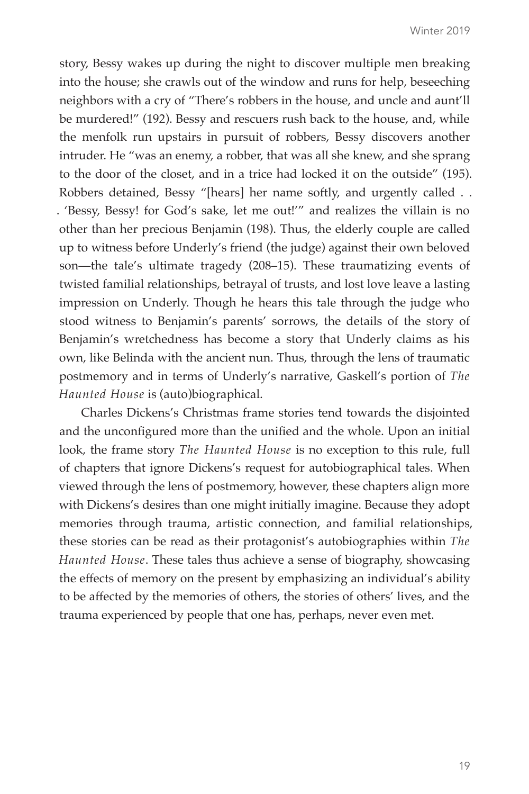story, Bessy wakes up during the night to discover multiple men breaking into the house; she crawls out of the window and runs for help, beseeching neighbors with a cry of "There's robbers in the house, and uncle and aunt'll be murdered!" (192). Bessy and rescuers rush back to the house, and, while the menfolk run upstairs in pursuit of robbers, Bessy discovers another intruder. He "was an enemy, a robber, that was all she knew, and she sprang to the door of the closet, and in a trice had locked it on the outside" (195). Robbers detained, Bessy "[hears] her name softly, and urgently called . . . 'Bessy, Bessy! for God's sake, let me out!'" and realizes the villain is no other than her precious Benjamin (198). Thus, the elderly couple are called up to witness before Underly's friend (the judge) against their own beloved son—the tale's ultimate tragedy (208–15). These traumatizing events of twisted familial relationships, betrayal of trusts, and lost love leave a lasting impression on Underly. Though he hears this tale through the judge who stood witness to Benjamin's parents' sorrows, the details of the story of Benjamin's wretchedness has become a story that Underly claims as his own, like Belinda with the ancient nun. Thus, through the lens of traumatic postmemory and in terms of Underly's narrative, Gaskell's portion of *The Haunted House* is (auto)biographical.

Charles Dickens's Christmas frame stories tend towards the disjointed and the unconfigured more than the unified and the whole. Upon an initial look, the frame story *The Haunted House* is no exception to this rule, full of chapters that ignore Dickens's request for autobiographical tales. When viewed through the lens of postmemory, however, these chapters align more with Dickens's desires than one might initially imagine. Because they adopt memories through trauma, artistic connection, and familial relationships, these stories can be read as their protagonist's autobiographies within *The Haunted House*. These tales thus achieve a sense of biography, showcasing the effects of memory on the present by emphasizing an individual's ability to be affected by the memories of others, the stories of others' lives, and the trauma experienced by people that one has, perhaps, never even met.